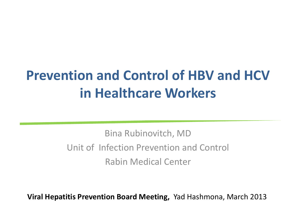## **Prevention and Control of HBV and HCV in Healthcare Workers**

Bina Rubinovitch, MD Unit of Infection Prevention and Control Rabin Medical Center

**Viral Hepatitis Prevention Board Meeting,** Yad Hashmona, March 2013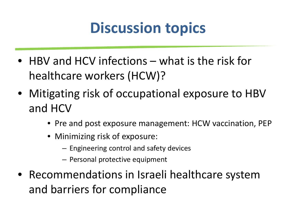# **Discussion topics**

- HBV and HCV infections what is the risk for healthcare workers (HCW)?
- Mitigating risk of occupational exposure to HBV and HCV
	- Pre and post exposure management: HCW vaccination, PEP
	- Minimizing risk of exposure:
		- Engineering control and safety devices
		- Personal protective equipment
- Recommendations in Israeli healthcare system and barriers for compliance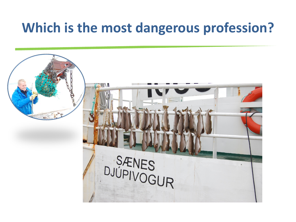#### **Which is the most dangerous profession?**

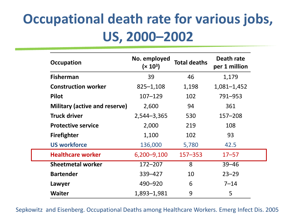## **Occupational death rate for various jobs, US, 2000–2002**

| <b>Occupation</b>             | No. employed<br>$(x 10^3)$ | <b>Total deaths</b> | Death rate<br>per 1 million |  |
|-------------------------------|----------------------------|---------------------|-----------------------------|--|
| <b>Fisherman</b>              | 39                         | 46                  | 1,179                       |  |
| <b>Construction worker</b>    | $825 - 1,108$              | 1,198               | $1,081 - 1,452$             |  |
| <b>Pilot</b>                  | $107 - 129$                | 102                 | 791-953                     |  |
| Military (active and reserve) | 2,600                      | 94                  | 361                         |  |
| <b>Truck driver</b>           | $2,544 - 3,365$            | 530                 | 157-208                     |  |
| <b>Protective service</b>     | 2,000                      | 219                 | 108                         |  |
| <b>Firefighter</b>            | 1,100                      | 102                 | 93                          |  |
| <b>US workforce</b>           | 136,000                    | 5,780               | 42.5                        |  |
| <b>Healthcare worker</b>      | 6,200-9,100                | $157 - 353$         | $17 - 57$                   |  |
| <b>Sheetmetal worker</b>      | 172-207                    | 8                   | $39 - 46$                   |  |
| <b>Bartender</b>              | 339–427                    | 10                  | $23 - 29$                   |  |
| Lawyer                        | 490-920                    | 6                   | $7 - 14$                    |  |
| <b>Waiter</b>                 | 1,893-1,981                | 9                   | 5                           |  |

Sepkowitz and Eisenberg. Occupational Deaths among Healthcare Workers. Emerg Infect Dis. 2005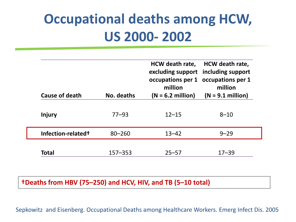## **Occupational deaths among HCW, US 2000- 2002**

| <b>Cause of death</b>          | No. deaths  | HCW death rate,<br>million<br>$(N = 6.2 \text{ million})$ | HCW death rate,<br>excluding support including support<br>occupations per 1 occupations per 1<br>million<br>$(N = 9.1$ million) |
|--------------------------------|-------------|-----------------------------------------------------------|---------------------------------------------------------------------------------------------------------------------------------|
| <b>Injury</b>                  | $77 - 93$   | $12 - 15$                                                 | $8 - 10$                                                                                                                        |
| Infection-related <sup>†</sup> | $80 - 260$  | $13 - 42$                                                 | $9 - 29$                                                                                                                        |
| Total                          | $157 - 353$ | $25 - 57$                                                 | $17 - 39$                                                                                                                       |

**†Deaths from HBV (75–250) and HCV, HIV, and TB (5–10 total)**

Sepkowitz and Eisenberg. Occupational Deaths among Healthcare Workers. Emerg Infect Dis. 2005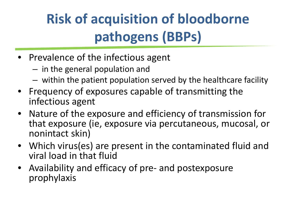# **Risk of acquisition of bloodborne pathogens (BBPs)**

- Prevalence of the infectious agent
	- in the general population and
	- within the patient population served by the healthcare facility
- Frequency of exposures capable of transmitting the infectious agent
- Nature of the exposure and efficiency of transmission for that exposure (ie, exposure via percutaneous, mucosal, or nonintact skin)
- Which virus(es) are present in the contaminated fluid and viral load in that fluid
- Availability and efficacy of pre- and postexposure prophylaxis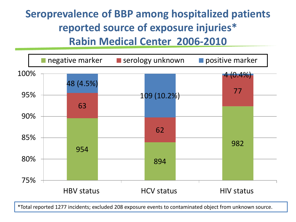#### **Seroprevalence of BBP among hospitalized patients reported source of exposure injuries\* Rabin Medical Center 2006-2010**



\*Total reported 1277 incidents; excluded 208 exposure events to contaminated object from unknown source.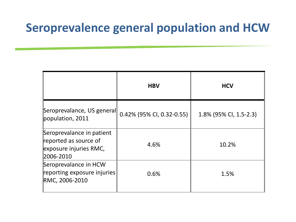#### **Seroprevalence general population and HCW**

|                                                                                           | <b>HBV</b>                | <b>HCV</b>             |
|-------------------------------------------------------------------------------------------|---------------------------|------------------------|
| Seroprevalance, US general<br>population, 2011                                            | 0.42% (95% CI, 0.32-0.55) | 1.8% (95% CI, 1.5-2.3) |
| Seroprevalance in patient<br>reported as source of<br>exposure injuries RMC,<br>2006-2010 | 4.6%                      | 10.2%                  |
| Seroprevalance in HCW<br>reporting exposure injuries<br>RMC, 2006-2010                    | 0.6%                      | 1.5%                   |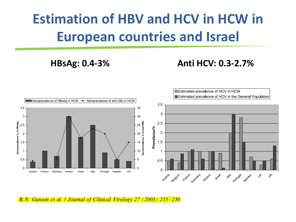## **Estimation of HBV and HCV in HCW in European countries and Israel**

#### **HBsAg: 0.4-3% Anti HCV: 0.3-2.7%**



R.N. Gunson et al. | Journal of Clinical Virology 27 (2003) 213-230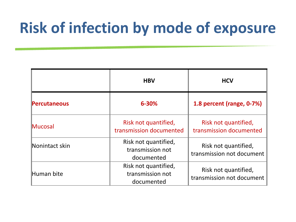# **Risk of infection by mode of exposure**

|                     | <b>HBV</b>                                             | <b>HCV</b>                                        |
|---------------------|--------------------------------------------------------|---------------------------------------------------|
| <b>Percutaneous</b> | 6-30%                                                  | 1.8 percent (range, 0-7%)                         |
| <b>Mucosal</b>      | Risk not quantified,<br>transmission documented        | Risk not quantified,<br>transmission documented   |
| Nonintact skin      | Risk not quantified,<br>transmission not<br>documented | Risk not quantified,<br>transmission not document |
| Human bite          | Risk not quantified,<br>transmission not<br>documented | Risk not quantified,<br>transmission not document |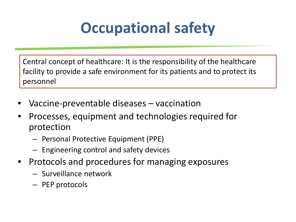# **Occupational safety**

Central concept of healthcare: It is the responsibility of the healthcare facility to provide a safe environment for its patients and to protect its personnel

- Vaccine-preventable diseases vaccination
- Processes, equipment and technologies required for protection
	- Personal Protective Equipment (PPE)
	- Engineering control and safety devices
- Protocols and procedures for managing exposures
	- Surveillance network
	- PEP protocols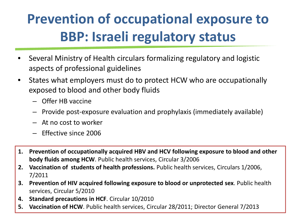# **Prevention of occupational exposure to BBP: Israeli regulatory status**

- Several Ministry of Health circulars formalizing regulatory and logistic aspects of professional guidelines
- States what employers must do to protect HCW who are occupationally exposed to blood and other body fluids
	- Offer HB vaccine
	- Provide post-exposure evaluation and prophylaxis (immediately available)
	- At no cost to worker
	- Effective since 2006
- **1. Prevention of occupationally acquired HBV and HCV following exposure to blood and other body fluids among HCW**. Public health services, Circular 3/2006
- **2. Vaccination of students of health professions.** Public health services, Circulars 1/2006, 7/2011
- **3. Prevention of HIV acquired following exposure to blood or unprotected sex**. Public health services, Circular 5/2010
- **4. Standard precautions in HCF**. Circular 10/2010
- **5. Vaccination of HCW**. Public health services, Circular 28/2011; Director General 7/2013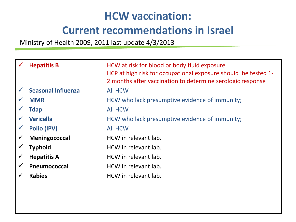#### **HCW vaccination:**

#### **Current recommendations in Israel**

Ministry of Health 2009, 2011 last update 4/3/2013

|              | <b>Hepatitis B</b>        | HCW at risk for blood or body fluid exposure<br>HCP at high risk for occupational exposure should be tested 1-<br>2 months after vaccination to determine serologic response |
|--------------|---------------------------|------------------------------------------------------------------------------------------------------------------------------------------------------------------------------|
|              | <b>Seasonal Influenza</b> | <b>All HCW</b>                                                                                                                                                               |
|              | <b>MMR</b>                | HCW who lack presumptive evidence of immunity;                                                                                                                               |
|              | <b>Tdap</b>               | <b>All HCW</b>                                                                                                                                                               |
|              | <b>Varicella</b>          | HCW who lack presumptive evidence of immunity;                                                                                                                               |
|              | Polio (IPV)               | <b>All HCW</b>                                                                                                                                                               |
|              | Meningococcal             | HCW in relevant lab.                                                                                                                                                         |
|              | <b>Typhoid</b>            | HCW in relevant lab.                                                                                                                                                         |
|              | <b>Hepatitis A</b>        | HCW in relevant lab.                                                                                                                                                         |
| $\checkmark$ | Pneumococcal              | HCW in relevant lab.                                                                                                                                                         |
|              | <b>Rabies</b>             | HCW in relevant lab.                                                                                                                                                         |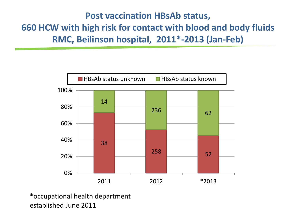**Post vaccination HBsAb status, 660 HCW with high risk for contact with blood and body fluids RMC, Beilinson hospital, 2011\*-2013 (Jan-Feb)**



\*occupational health department established June 2011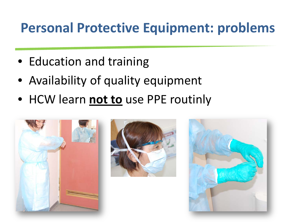#### **Personal Protective Equipment: problems**

- Education and training
- Availability of quality equipment
- HCW learn **not to** use PPE routinly





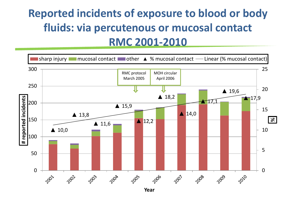#### **Reported incidents of exposure to blood or body fluids: via percutenous or mucosal contact RMC 2001-2010**

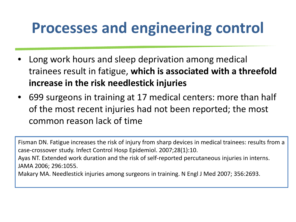# **Processes and engineering control**

- Long work hours and sleep deprivation among medical trainees result in fatigue, **which is associated with a threefold increase in the risk needlestick injuries**
- 699 surgeons in training at 17 medical centers: more than half of the most recent injuries had not been reported; the most common reason lack of time

Fisman DN. Fatigue increases the risk of injury from sharp devices in medical trainees: results from a case-crossover study. Infect Control Hosp Epidemiol. 2007;28(1):10. Ayas NT. Extended work duration and the risk of self-reported percutaneous injuries in interns. JAMA 2006; 296:1055. Makary MA. Needlestick injuries among surgeons in training. N Engl J Med 2007; 356:2693.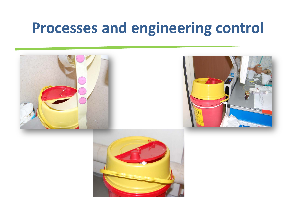#### **Processes and engineering control**





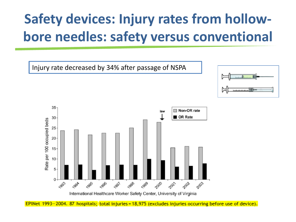## **Safety devices: Injury rates from hollowbore needles: safety versus conventional**



EPINet 1993-2004. 87 hospitals; total injuries = 18,975 (excludes injuries occurring before use of device).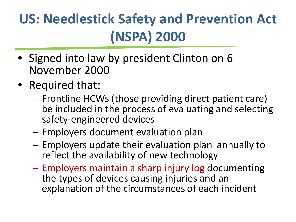# **US: Needlestick Safety and Prevention Act (NSPA) 2000**

- Signed into law by president Clinton on 6 November 2000
- Required that:
	- Frontline HCWs (those providing direct patient care) be included in the process of evaluating and selecting safety-engineered devices
	- Employers document evaluation plan
	- Employers update their evaluation plan annually to reflect the availability of new technology
	- Employers maintain a sharp injury log documenting the types of devices causing injuries and an explanation of the circumstances of each incident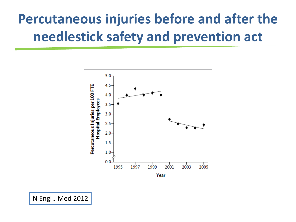## **Percutaneous injuries before and after the needlestick safety and prevention act**



N Engl J Med 2012